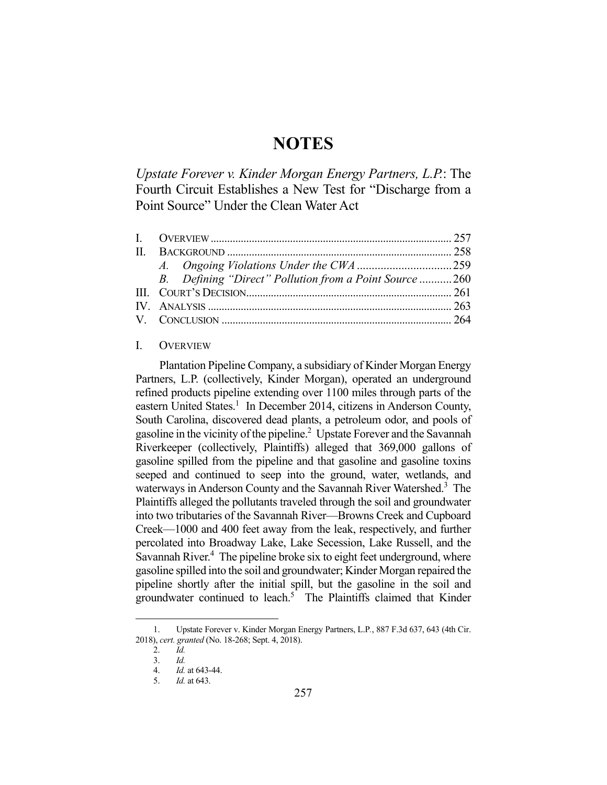# **NOTES**

*Upstate Forever v. Kinder Morgan Energy Partners, L.P.*: The Fourth Circuit Establishes a New Test for "Discharge from a Point Source" Under the Clean Water Act

| B. Defining "Direct" Pollution from a Point Source 260 |  |
|--------------------------------------------------------|--|
|                                                        |  |
|                                                        |  |
|                                                        |  |

#### I. OVERVIEW

 Plantation Pipeline Company, a subsidiary of Kinder Morgan Energy Partners, L.P. (collectively, Kinder Morgan), operated an underground refined products pipeline extending over 1100 miles through parts of the eastern United States.<sup>1</sup> In December 2014, citizens in Anderson County, South Carolina, discovered dead plants, a petroleum odor, and pools of gasoline in the vicinity of the pipeline.<sup>2</sup> Upstate Forever and the Savannah Riverkeeper (collectively, Plaintiffs) alleged that 369,000 gallons of gasoline spilled from the pipeline and that gasoline and gasoline toxins seeped and continued to seep into the ground, water, wetlands, and waterways in Anderson County and the Savannah River Watershed.<sup>3</sup> The Plaintiffs alleged the pollutants traveled through the soil and groundwater into two tributaries of the Savannah River—Browns Creek and Cupboard Creek—1000 and 400 feet away from the leak, respectively, and further percolated into Broadway Lake, Lake Secession, Lake Russell, and the Savannah River.<sup>4</sup> The pipeline broke six to eight feet underground, where gasoline spilled into the soil and groundwater; Kinder Morgan repaired the pipeline shortly after the initial spill, but the gasoline in the soil and groundwater continued to leach.<sup>5</sup> The Plaintiffs claimed that Kinder

 <sup>1.</sup> Upstate Forever v. Kinder Morgan Energy Partners, L.P*.*, 887 F.3d 637, 643 (4th Cir. 2018), *cert. granted* (No. 18-268; Sept. 4, 2018).

 <sup>2.</sup> *Id.*

 <sup>3.</sup> *Id.*

 <sup>4.</sup> *Id.* at 643-44.

 <sup>5.</sup> *Id.* at 643.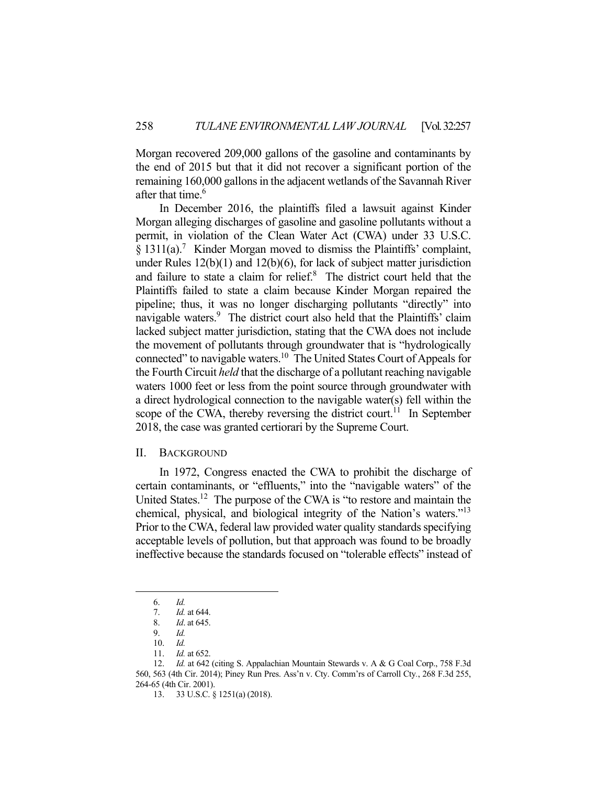Morgan recovered 209,000 gallons of the gasoline and contaminants by the end of 2015 but that it did not recover a significant portion of the remaining 160,000 gallons in the adjacent wetlands of the Savannah River after that time.<sup>6</sup>

 In December 2016, the plaintiffs filed a lawsuit against Kinder Morgan alleging discharges of gasoline and gasoline pollutants without a permit, in violation of the Clean Water Act (CWA) under 33 U.S.C. § 1311(a).<sup>7</sup> Kinder Morgan moved to dismiss the Plaintiffs' complaint, under Rules 12(b)(1) and 12(b)(6), for lack of subject matter jurisdiction and failure to state a claim for relief.<sup>8</sup> The district court held that the Plaintiffs failed to state a claim because Kinder Morgan repaired the pipeline; thus, it was no longer discharging pollutants "directly" into navigable waters.<sup>9</sup> The district court also held that the Plaintiffs' claim lacked subject matter jurisdiction, stating that the CWA does not include the movement of pollutants through groundwater that is "hydrologically connected" to navigable waters.<sup>10</sup> The United States Court of Appeals for the Fourth Circuit *held* that the discharge of a pollutant reaching navigable waters 1000 feet or less from the point source through groundwater with a direct hydrological connection to the navigable water(s) fell within the scope of the CWA, thereby reversing the district court.<sup>11</sup> In September 2018, the case was granted certiorari by the Supreme Court.

## II. BACKGROUND

 In 1972, Congress enacted the CWA to prohibit the discharge of certain contaminants, or "effluents," into the "navigable waters" of the United States.<sup>12</sup> The purpose of the CWA is "to restore and maintain the chemical, physical, and biological integrity of the Nation's waters."13 Prior to the CWA, federal law provided water quality standards specifying acceptable levels of pollution, but that approach was found to be broadly ineffective because the standards focused on "tolerable effects" instead of

 <sup>6.</sup> *Id.*

 <sup>7.</sup> *Id.* at 644.

 <sup>8.</sup> *Id*. at 645.

 <sup>9.</sup> *Id.*

 <sup>10.</sup> *Id.* 

 <sup>11.</sup> *Id.* at 652.

<sup>12.</sup> *Id.* at 642 (citing S. Appalachian Mountain Stewards v. A & G Coal Corp., 758 F.3d 560, 563 (4th Cir. 2014); Piney Run Pres. Ass'n v. Cty. Comm'rs of Carroll Cty*.*, 268 F.3d 255, 264-65 (4th Cir. 2001).

 <sup>13. 33</sup> U.S.C. § 1251(a) (2018).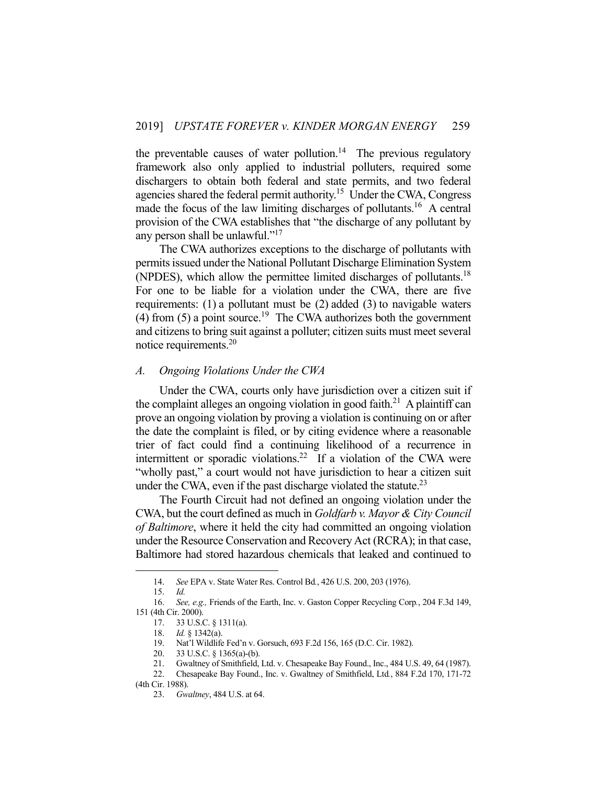the preventable causes of water pollution.<sup>14</sup> The previous regulatory framework also only applied to industrial polluters, required some dischargers to obtain both federal and state permits, and two federal agencies shared the federal permit authority.<sup>15</sup> Under the CWA, Congress made the focus of the law limiting discharges of pollutants.<sup>16</sup> A central provision of the CWA establishes that "the discharge of any pollutant by any person shall be unlawful."<sup>17</sup>

 The CWA authorizes exceptions to the discharge of pollutants with permits issued under the National Pollutant Discharge Elimination System (NPDES), which allow the permittee limited discharges of pollutants.<sup>18</sup> For one to be liable for a violation under the CWA, there are five requirements: (1) a pollutant must be (2) added (3) to navigable waters (4) from (5) a point source.<sup>19</sup> The CWA authorizes both the government and citizens to bring suit against a polluter; citizen suits must meet several notice requirements.<sup>20</sup>

## *A. Ongoing Violations Under the CWA*

 Under the CWA, courts only have jurisdiction over a citizen suit if the complaint alleges an ongoing violation in good faith.<sup>21</sup> A plaintiff can prove an ongoing violation by proving a violation is continuing on or after the date the complaint is filed, or by citing evidence where a reasonable trier of fact could find a continuing likelihood of a recurrence in intermittent or sporadic violations.<sup>22</sup> If a violation of the CWA were "wholly past," a court would not have jurisdiction to hear a citizen suit under the CWA, even if the past discharge violated the statute.<sup>23</sup>

 The Fourth Circuit had not defined an ongoing violation under the CWA, but the court defined as much in *Goldfarb v. Mayor & City Council of Baltimore*, where it held the city had committed an ongoing violation under the Resource Conservation and Recovery Act (RCRA); in that case, Baltimore had stored hazardous chemicals that leaked and continued to

1

20. 33 U.S.C. § 1365(a)-(b).

 <sup>14.</sup> *See* EPA v. State Water Res. Control Bd*.*, 426 U.S. 200, 203 (1976).

 <sup>15.</sup> *Id.*

 <sup>16.</sup> *See, e.g.,* Friends of the Earth, Inc. v. Gaston Copper Recycling Corp*.*, 204 F.3d 149, 151 (4th Cir. 2000).

 <sup>17. 33</sup> U.S.C. § 1311(a).

 <sup>18.</sup> *Id.* § 1342(a).

 <sup>19.</sup> Nat'l Wildlife Fed'n v. Gorsuch, 693 F.2d 156, 165 (D.C. Cir. 1982).

 <sup>21.</sup> Gwaltney of Smithfield, Ltd. v. Chesapeake Bay Found., Inc., 484 U.S. 49, 64 (1987).

 <sup>22.</sup> Chesapeake Bay Found., Inc. v. Gwaltney of Smithfield, Ltd*.*, 884 F.2d 170, 171-72 (4th Cir. 1988).

 <sup>23.</sup> *Gwaltney*, 484 U.S. at 64.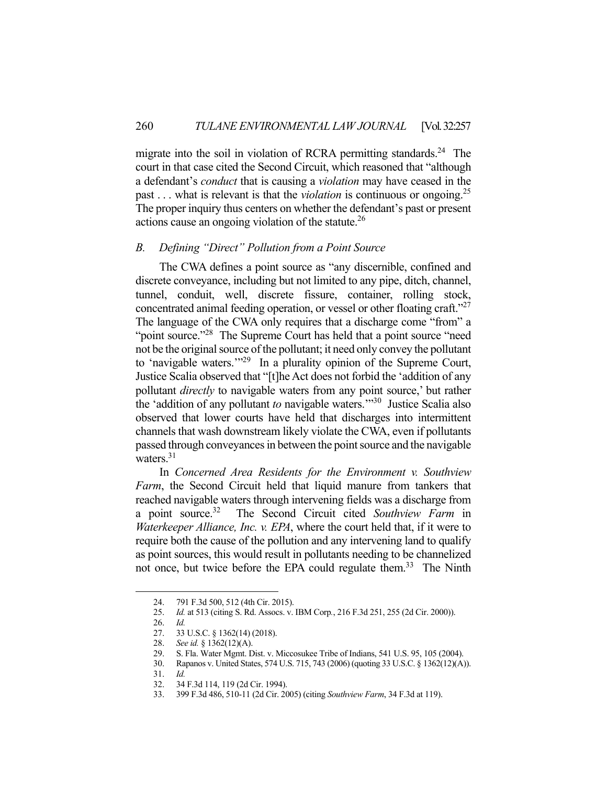migrate into the soil in violation of RCRA permitting standards.<sup>24</sup> The court in that case cited the Second Circuit, which reasoned that "although a defendant's *conduct* that is causing a *violation* may have ceased in the past . . . what is relevant is that the *violation* is continuous or ongoing.25 The proper inquiry thus centers on whether the defendant's past or present actions cause an ongoing violation of the statute.<sup>26</sup>

## *B. Defining "Direct" Pollution from a Point Source*

 The CWA defines a point source as "any discernible, confined and discrete conveyance, including but not limited to any pipe, ditch, channel, tunnel, conduit, well, discrete fissure, container, rolling stock, concentrated animal feeding operation, or vessel or other floating craft."<sup>27</sup> The language of the CWA only requires that a discharge come "from" a "point source."<sup>28</sup> The Supreme Court has held that a point source "need" not be the original source of the pollutant; it need only convey the pollutant to 'navigable waters."<sup>29</sup> In a plurality opinion of the Supreme Court, Justice Scalia observed that "[t]he Act does not forbid the 'addition of any pollutant *directly* to navigable waters from any point source,' but rather the 'addition of any pollutant *to* navigable waters.'"30 Justice Scalia also observed that lower courts have held that discharges into intermittent channels that wash downstream likely violate the CWA, even if pollutants passed through conveyances in between the point source and the navigable waters.<sup>31</sup>

 In *Concerned Area Residents for the Environment v. Southview Farm*, the Second Circuit held that liquid manure from tankers that reached navigable waters through intervening fields was a discharge from a point source.32 The Second Circuit cited *Southview Farm* in *Waterkeeper Alliance, Inc. v. EPA*, where the court held that, if it were to require both the cause of the pollution and any intervening land to qualify as point sources, this would result in pollutants needing to be channelized not once, but twice before the EPA could regulate them.<sup>33</sup> The Ninth

 <sup>24. 791</sup> F.3d 500, 512 (4th Cir. 2015).

 <sup>25.</sup> *Id.* at 513 (citing S. Rd. Assocs. v. IBM Corp*.*, 216 F.3d 251, 255 (2d Cir. 2000)).

 <sup>26.</sup> *Id.*

 <sup>27. 33</sup> U.S.C. § 1362(14) (2018).

 <sup>28.</sup> *See id.* § 1362(12)(A).

 <sup>29.</sup> S. Fla. Water Mgmt. Dist. v. Miccosukee Tribe of Indians, 541 U.S. 95, 105 (2004).

 <sup>30.</sup> Rapanos v. United States, 574 U.S. 715, 743 (2006) (quoting 33 U.S.C. § 1362(12)(A)).

 <sup>31.</sup> *Id.*

 <sup>32. 34</sup> F.3d 114, 119 (2d Cir. 1994).

 <sup>33. 399</sup> F.3d 486, 510-11 (2d Cir. 2005) (citing *Southview Farm*, 34 F.3d at 119).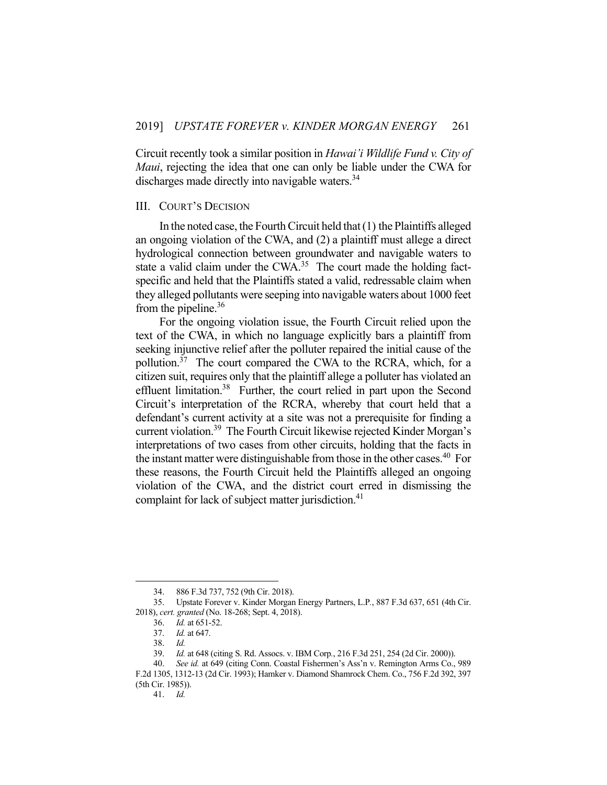Circuit recently took a similar position in *Hawai'i Wildlife Fund v. City of Maui*, rejecting the idea that one can only be liable under the CWA for discharges made directly into navigable waters.<sup>34</sup>

### III. COURT'S DECISION

 In the noted case, the Fourth Circuit held that (1) the Plaintiffs alleged an ongoing violation of the CWA, and (2) a plaintiff must allege a direct hydrological connection between groundwater and navigable waters to state a valid claim under the CWA.<sup>35</sup> The court made the holding factspecific and held that the Plaintiffs stated a valid, redressable claim when they alleged pollutants were seeping into navigable waters about 1000 feet from the pipeline.<sup>36</sup>

 For the ongoing violation issue, the Fourth Circuit relied upon the text of the CWA, in which no language explicitly bars a plaintiff from seeking injunctive relief after the polluter repaired the initial cause of the pollution.<sup>37</sup> The court compared the CWA to the RCRA, which, for a citizen suit, requires only that the plaintiff allege a polluter has violated an effluent limitation.<sup>38</sup> Further, the court relied in part upon the Second Circuit's interpretation of the RCRA, whereby that court held that a defendant's current activity at a site was not a prerequisite for finding a current violation.39 The Fourth Circuit likewise rejected Kinder Morgan's interpretations of two cases from other circuits, holding that the facts in the instant matter were distinguishable from those in the other cases.<sup>40</sup> For these reasons, the Fourth Circuit held the Plaintiffs alleged an ongoing violation of the CWA, and the district court erred in dismissing the complaint for lack of subject matter jurisdiction.<sup>41</sup>

1

41. *Id.* 

 <sup>34. 886</sup> F.3d 737, 752 (9th Cir. 2018).

 <sup>35.</sup> Upstate Forever v. Kinder Morgan Energy Partners, L.P*.*, 887 F.3d 637, 651 (4th Cir. 2018), *cert. granted* (No. 18-268; Sept. 4, 2018).

 <sup>36.</sup> *Id.* at 651-52.

 <sup>37.</sup> *Id.* at 647.

 <sup>38.</sup> *Id.*

 <sup>39.</sup> *Id.* at 648 (citing S. Rd. Assocs. v. IBM Corp*.*, 216 F.3d 251, 254 (2d Cir. 2000)).

 <sup>40.</sup> *See id.* at 649 (citing Conn. Coastal Fishermen's Ass'n v. Remington Arms Co., 989 F.2d 1305, 1312-13 (2d Cir. 1993); Hamker v. Diamond Shamrock Chem. Co., 756 F.2d 392, 397 (5th Cir. 1985)).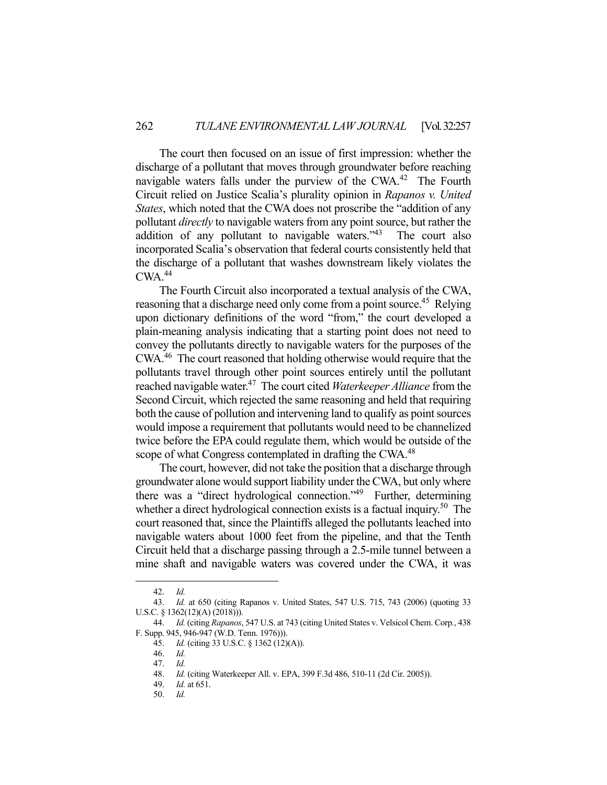The court then focused on an issue of first impression: whether the discharge of a pollutant that moves through groundwater before reaching navigable waters falls under the purview of the CWA.<sup>42</sup> The Fourth Circuit relied on Justice Scalia's plurality opinion in *Rapanos v. United States*, which noted that the CWA does not proscribe the "addition of any pollutant *directly* to navigable waters from any point source, but rather the addition of any pollutant to navigable waters."43 The court also incorporated Scalia's observation that federal courts consistently held that the discharge of a pollutant that washes downstream likely violates the  $CWA.<sup>44</sup>$ 

 The Fourth Circuit also incorporated a textual analysis of the CWA, reasoning that a discharge need only come from a point source.<sup>45</sup> Relying upon dictionary definitions of the word "from," the court developed a plain-meaning analysis indicating that a starting point does not need to convey the pollutants directly to navigable waters for the purposes of the CWA.46 The court reasoned that holding otherwise would require that the pollutants travel through other point sources entirely until the pollutant reached navigable water.47 The court cited *Waterkeeper Alliance* from the Second Circuit, which rejected the same reasoning and held that requiring both the cause of pollution and intervening land to qualify as point sources would impose a requirement that pollutants would need to be channelized twice before the EPA could regulate them, which would be outside of the scope of what Congress contemplated in drafting the CWA.<sup>48</sup>

 The court, however, did not take the position that a discharge through groundwater alone would support liability under the CWA, but only where there was a "direct hydrological connection."49 Further, determining whether a direct hydrological connection exists is a factual inquiry.<sup>50</sup> The court reasoned that, since the Plaintiffs alleged the pollutants leached into navigable waters about 1000 feet from the pipeline, and that the Tenth Circuit held that a discharge passing through a 2.5-mile tunnel between a mine shaft and navigable waters was covered under the CWA, it was

 <sup>42.</sup> *Id.*

 <sup>43.</sup> *Id.* at 650 (citing Rapanos v. United States, 547 U.S. 715, 743 (2006) (quoting 33 U.S.C. § 1362(12)(A) (2018))).

 <sup>44.</sup> *Id.* (citing *Rapanos*, 547 U.S. at 743 (citing United States v. Velsicol Chem. Corp*.*, 438 F. Supp. 945, 946-947 (W.D. Tenn. 1976))).

 <sup>45.</sup> *Id.* (citing 33 U.S.C. § 1362 (12)(A)).

 <sup>46.</sup> *Id.* 

 <sup>47.</sup> *Id.* 

 <sup>48.</sup> *Id.* (citing Waterkeeper All. v. EPA, 399 F.3d 486, 510-11 (2d Cir. 2005)).

 <sup>49.</sup> *Id.* at 651.

 <sup>50.</sup> *Id.*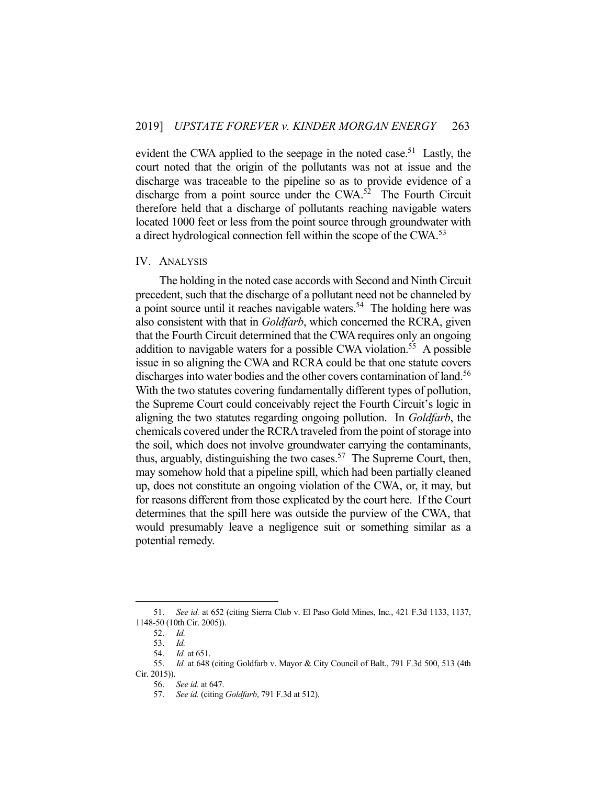evident the CWA applied to the seepage in the noted case.<sup>51</sup> Lastly, the court noted that the origin of the pollutants was not at issue and the discharge was traceable to the pipeline so as to provide evidence of a discharge from a point source under the CWA.<sup>52</sup> The Fourth Circuit therefore held that a discharge of pollutants reaching navigable waters located 1000 feet or less from the point source through groundwater with a direct hydrological connection fell within the scope of the CWA.<sup>53</sup>

#### IV. ANALYSIS

 The holding in the noted case accords with Second and Ninth Circuit precedent, such that the discharge of a pollutant need not be channeled by a point source until it reaches navigable waters.<sup>54</sup> The holding here was also consistent with that in *Goldfarb*, which concerned the RCRA, given that the Fourth Circuit determined that the CWA requires only an ongoing addition to navigable waters for a possible CWA violation.<sup>55</sup> A possible issue in so aligning the CWA and RCRA could be that one statute covers discharges into water bodies and the other covers contamination of land.<sup>56</sup> With the two statutes covering fundamentally different types of pollution, the Supreme Court could conceivably reject the Fourth Circuit's logic in aligning the two statutes regarding ongoing pollution. In *Goldfarb*, the chemicals covered under the RCRA traveled from the point of storage into the soil, which does not involve groundwater carrying the contaminants, thus, arguably, distinguishing the two cases.<sup>57</sup> The Supreme Court, then, may somehow hold that a pipeline spill, which had been partially cleaned up, does not constitute an ongoing violation of the CWA, or, it may, but for reasons different from those explicated by the court here. If the Court determines that the spill here was outside the purview of the CWA, that would presumably leave a negligence suit or something similar as a potential remedy.

 <sup>51.</sup> *See id.* at 652 (citing Sierra Club v. El Paso Gold Mines, Inc*.*, 421 F.3d 1133, 1137, 1148-50 (10th Cir. 2005)).

 <sup>52.</sup> *Id.* 

 <sup>53.</sup> *Id.* 

 <sup>54.</sup> *Id.* at 651.

 <sup>55.</sup> *Id.* at 648 (citing Goldfarb v. Mayor & City Council of Balt., 791 F.3d 500, 513 (4th Cir. 2015)).

 <sup>56.</sup> *See id.* at 647.

 <sup>57.</sup> *See id.* (citing *Goldfarb*, 791 F.3d at 512).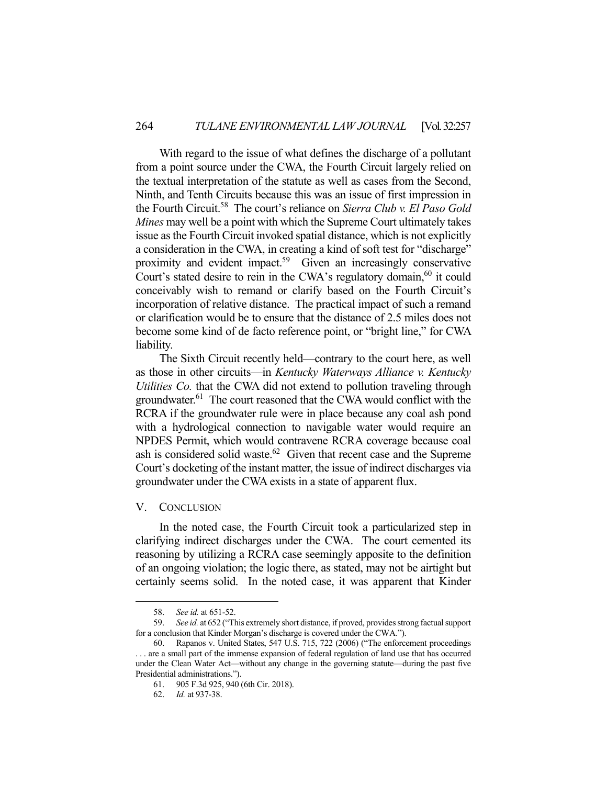With regard to the issue of what defines the discharge of a pollutant from a point source under the CWA, the Fourth Circuit largely relied on the textual interpretation of the statute as well as cases from the Second, Ninth, and Tenth Circuits because this was an issue of first impression in the Fourth Circuit.58 The court's reliance on *Sierra Club v. El Paso Gold Mines* may well be a point with which the Supreme Court ultimately takes issue as the Fourth Circuit invoked spatial distance, which is not explicitly a consideration in the CWA, in creating a kind of soft test for "discharge" proximity and evident impact.<sup>59</sup> Given an increasingly conservative Court's stated desire to rein in the CWA's regulatory domain,<sup>60</sup> it could conceivably wish to remand or clarify based on the Fourth Circuit's incorporation of relative distance. The practical impact of such a remand or clarification would be to ensure that the distance of 2.5 miles does not become some kind of de facto reference point, or "bright line," for CWA liability.

 The Sixth Circuit recently held—contrary to the court here, as well as those in other circuits—in *Kentucky Waterways Alliance v. Kentucky Utilities Co.* that the CWA did not extend to pollution traveling through groundwater.<sup>61</sup> The court reasoned that the CWA would conflict with the RCRA if the groundwater rule were in place because any coal ash pond with a hydrological connection to navigable water would require an NPDES Permit, which would contravene RCRA coverage because coal ash is considered solid waste.<sup>62</sup> Given that recent case and the Supreme Court's docketing of the instant matter, the issue of indirect discharges via groundwater under the CWA exists in a state of apparent flux.

#### V. CONCLUSION

 In the noted case, the Fourth Circuit took a particularized step in clarifying indirect discharges under the CWA. The court cemented its reasoning by utilizing a RCRA case seemingly apposite to the definition of an ongoing violation; the logic there, as stated, may not be airtight but certainly seems solid. In the noted case, it was apparent that Kinder

 <sup>58.</sup> *See id.* at 651-52.

 <sup>59.</sup> *See id.* at 652 ("This extremely short distance, if proved, provides strong factual support for a conclusion that Kinder Morgan's discharge is covered under the CWA.").

 <sup>60.</sup> Rapanos v. United States, 547 U.S. 715, 722 (2006) ("The enforcement proceedings . . . are a small part of the immense expansion of federal regulation of land use that has occurred under the Clean Water Act—without any change in the governing statute—during the past five Presidential administrations.").

 <sup>61. 905</sup> F.3d 925, 940 (6th Cir. 2018).

 <sup>62.</sup> *Id.* at 937-38.